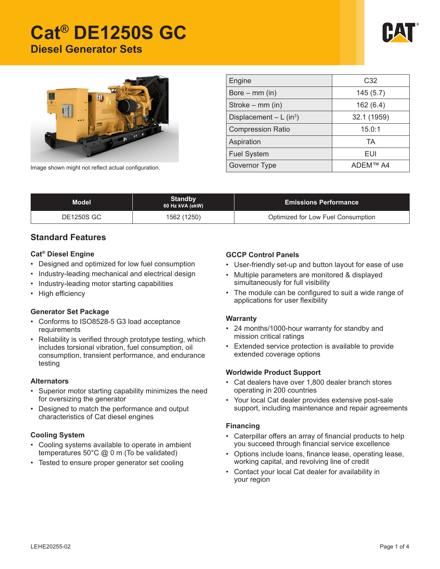# **Cat® DE1250S GC Diesel Generator Sets**





| Engine                   | C <sub>32</sub> |  |  |
|--------------------------|-----------------|--|--|
| Bore $-$ mm (in)         | 145(5.7)        |  |  |
| Stroke – mm (in)         | 162(6.4)        |  |  |
| Displacement $- L (in3)$ | 32.1 (1959)     |  |  |
| <b>Compression Ratio</b> | 15.0:1          |  |  |
| Aspiration               | TA              |  |  |
| <b>Fuel System</b>       | EUI             |  |  |
| <b>Governor Type</b>     | ADEM™ A4        |  |  |

Image shown might not reflect actual configuration.

| Model             | <b>Standby</b><br>60 Hz kVA (ekW) | <b>Emissions Performance</b>       |
|-------------------|-----------------------------------|------------------------------------|
| <b>DE1250S GC</b> | 1562 (1250)                       | Optimized for Low Fuel Consumption |

#### **Standard Features**

#### **Cat® Diesel Engine**

- Designed and optimized for low fuel consumption
- Industry-leading mechanical and electrical design
- Industry-leading motor starting capabilities
- High efficiency

#### **Generator Set Package**

- Conforms to ISO8528-5 G3 load acceptance requirements
- Reliability is verified through prototype testing, which includes torsional vibration, fuel consumption, oil consumption, transient performance, and endurance testing

#### **Alternators**

- Superior motor starting capability minimizes the need for oversizing the generator
- Designed to match the performance and output characteristics of Cat diesel engines

#### **Cooling System**

- Cooling systems available to operate in ambient temperatures 50°C @ 0 m (To be validated)
- Tested to ensure proper generator set cooling

#### **GCCP Control Panels**

- User-friendly set-up and button layout for ease of use
- Multiple parameters are monitored & displayed simultaneously for full visibility
- The module can be configured to suit a wide range of applications for user flexibility

#### **Warranty**

- 24 months/1000-hour warranty for standby and mission critical ratings
- • Extended service protection is available to provide extended coverage options

#### **Worldwide Product Support**

- • Cat dealers have over 1,800 dealer branch stores operating in 200 countries
- • Your local Cat dealer provides extensive post-sale support, including maintenance and repair agreements

#### **Financing**

- Caterpillar offers an array of financial products to help you succeed through financial service excellence
- • Options include loans, finance lease, operating lease, working capital, and revolving line of credit
- Contact your local Cat dealer for availability in your region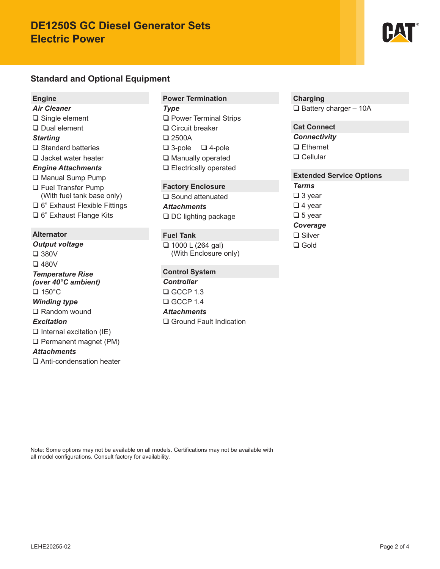## **DE1250S GC Diesel Generator Sets Electric Power**

## **Standard and Optional Equipment**

#### **Engine**

*Air Cleaner* □ Single element Dual element *Starting* **□** Standard batteries Jacket water heater *Engine Attachments* **□ Manual Sump Pump** □ Fuel Transfer Pump

- (With fuel tank base only) □ 6" Exhaust Flexible Fittings
- □ 6" Exhaust Flange Kits

#### **Alternator**

*Output voltage* 380V 480V *Temperature Rise (over 40°C ambient)*  $\Box$  150 $^{\circ}$ C *Winding type* □ Random wound *Excitation*  $\Box$  Internal excitation (IE) □ Permanent magnet (PM) *Attachments* Anti-condensation heater

#### **Power Termination**

*Type* **Q** Power Terminal Strips □ Circuit breaker 2500A  $\Box$  3-pole  $\Box$  4-pole □ Manually operated □ Electrically operated

#### **Factory Enclosure**

□ Sound attenuated *Attachments*  $\Box$  DC lighting package

#### **Fuel Tank**

 $\Box$  1000 L (264 gal) (With Enclosure only)

#### **Control System**

*Controller*  $\Box$  GCCP 1.3  $\Box$  GCCP 1.4 *Attachments* □ Ground Fault Indication

#### **Charging**

 $\Box$  Battery charger - 10A

#### **Cat Connect** *Connectivity*

□ Ethernet □ Cellular

#### **Extended Service Options**

*Terms*

□ 3 year

 $\Box$  4 year

 $\Box$  5 year

## *Coverage*

**□** Silver □ Gold

Note: Some options may not be available on all models. Certifications may not be available with all model configurations. Consult factory for availability.

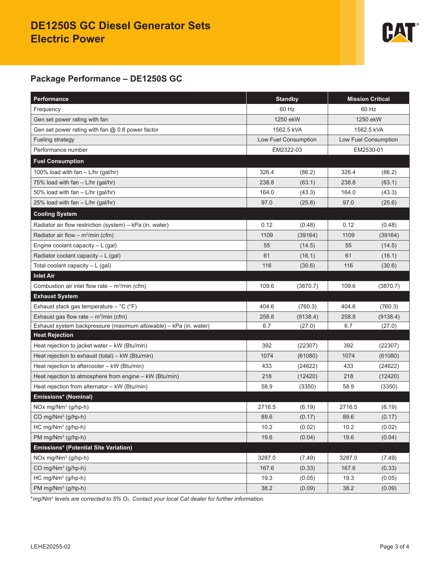

### **Package Performance – DE1250S GC**

| Performance                                                       | <b>Standby</b> |                      | <b>Mission Critical</b> |          |
|-------------------------------------------------------------------|----------------|----------------------|-------------------------|----------|
| Frequency                                                         | 60 Hz          |                      | 60 Hz                   |          |
| Gen set power rating with fan                                     | 1250 ekW       |                      | 1250 ekW                |          |
| Gen set power rating with fan @ 0.8 power factor                  |                | 1562.5 kVA           | 1562.5 kVA              |          |
| Fueling strategy                                                  |                | Low Fuel Consumption | Low Fuel Consumption    |          |
| Performance number                                                |                | EM2322-03            | EM2530-01               |          |
| <b>Fuel Consumption</b>                                           |                |                      |                         |          |
| 100% load with fan - L/hr (gal/hr)                                | 326.4          | (86.2)               | 326.4                   | (86.2)   |
| 75% load with $fan - L/hr$ (gal/hr)                               | 238.8          | (63.1)               | 238.8                   | (63.1)   |
| 50% load with fan $-$ L/hr (gal/hr)                               | 164.0          | (43.3)               | 164.0                   | (43.3)   |
| 25% load with fan - L/hr (gal/hr)                                 | 97.0           | (25.6)               | 97.0                    | (25.6)   |
| <b>Cooling System</b>                                             |                |                      |                         |          |
| Radiator air flow restriction (system) - kPa (in. water)          | 0.12           | (0.48)               | 0.12                    | (0.48)   |
| Radiator air flow – $m^3/m$ in (cfm)                              | 1109           | (39164)              | 1109                    | (39164)  |
| Engine coolant capacity $-L$ (gal)                                | 55             | (14.5)               | 55                      | (14.5)   |
| Radiator coolant capacity - L (gal)                               | 61             | (16.1)               | 61                      | (16.1)   |
| Total coolant capacity $-L$ (gal)                                 | 116            | (30.6)               | 116                     | (30.6)   |
| <b>Inlet Air</b>                                                  |                |                      |                         |          |
| Combustion air inlet flow rate $-$ m <sup>3</sup> /min (cfm)      | 109.6          | (3870.7)             | 109.6                   | (3870.7) |
| <b>Exhaust System</b>                                             |                |                      |                         |          |
| Exhaust stack gas temperature - °C (°F)                           | 404.6          | (760.3)              | 404.6                   | (760.3)  |
| Exhaust gas flow rate – $m^3/m$ in (cfm)                          | 258.8          | (9138.4)             | 258.8                   | (9138.4) |
| Exhaust system backpressure (maximum allowable) - kPa (in. water) | 6.7            | (27.0)               | 6.7                     | (27.0)   |
| <b>Heat Rejection</b>                                             |                |                      |                         |          |
| Heat rejection to jacket water - kW (Btu/min)                     | 392            | (22307)              | 392                     | (22307)  |
| Heat rejection to exhaust (total) $-$ kW (Btu/min)                | 1074           | (61080)              | 1074                    | (61080)  |
| Heat rejection to aftercooler - kW (Btu/min)                      | 433            | (24622)              | 433                     | (24622)  |
| Heat rejection to atmosphere from engine - kW (Btu/min)           | 218            | (12420)              | 218                     | (12420)  |
| Heat rejection from alternator - kW (Btu/min)                     | 58.9           | (3350)               | 58.9                    | (3350)   |
| Emissions* (Nominal)                                              |                |                      |                         |          |
| NOx mg/Nm <sup>3</sup> (g/hp-h)                                   | 2716.5         | (6.19)               | 2716.5                  | (6.19)   |
| CO mg/Nm <sup>3</sup> (g/hp-h)                                    | 89.6           | (0.17)               | 89.6                    | (0.17)   |
| HC mg/Nm <sup>3</sup> (g/hp-h)                                    | 10.2           | (0.02)               | 10.2                    | (0.02)   |
| PM mg/Nm <sup>3</sup> (g/hp-h)                                    | 19.6           | (0.04)               | 19.6                    | (0.04)   |
| Emissions* (Potential Site Variation)                             |                |                      |                         |          |
| NOx mg/Nm <sup>3</sup> (g/hp-h)                                   | 3287.0         | (7.49)               | 3287.0                  | (7.49)   |
| CO mg/Nm <sup>3</sup> (g/hp-h)                                    | 167.6          | (0.33)               | 167.6                   | (0.33)   |
| $HC$ mg/ $Nm^3$ (g/hp-h)                                          | 19.3           | (0.05)               | 19.3                    | (0.05)   |
| PM mg/Nm <sup>3</sup> (g/hp-h)                                    | 38.2           | (0.09)               | 38.2                    | (0.09)   |

\**mg/Nm3 levels are corrected to 5% O2. Contact your local Cat dealer for further information.*